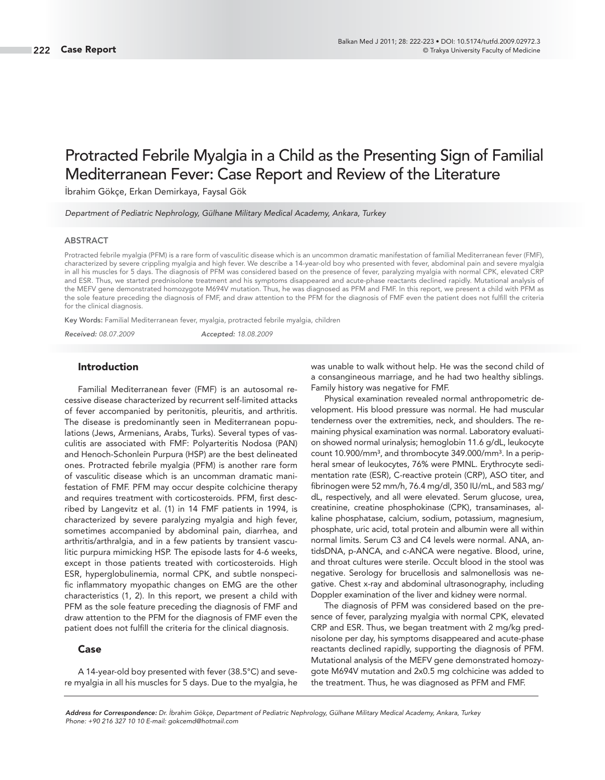# Protracted Febrile Myalgia in a Child as the Presenting Sign of Familial Mediterranean Fever: Case Report and Review of the Literature

İbrahim Gökçe, Erkan Demirkaya, Faysal Gök

Department of Pediatric Nephrology, Gülhane Military Medical Academy, Ankara, Turkey

#### **ABSTRACT**

Protracted febrile myalgia (PFM) is a rare form of vasculitic disease which is an uncommon dramatic manifestation of familial Mediterranean fever (FMF), characterized by severe crippling myalgia and high fever. We describe a 14-year-old boy who presented with fever, abdominal pain and severe myalgia in all his muscles for 5 days. The diagnosis of PFM was considered based on the presence of fever, paralyzing myalgia with normal CPK, elevated CRP and ESR. Thus, we started prednisolone treatment and his symptoms disappeared and acute-phase reactants declined rapidly. Mutational analysis of the MEFV gene demonstrated homozygote M694V mutation. Thus, he was diagnosed as PFM and FMF. In this report, we present a child with PFM as the sole feature preceding the diagnosis of FMF, and draw attention to the PFM for the diagnosis of FMF even the patient does not fulfill the criteria for the clinical diagnosis.

**Key Words:** Familial Mediterranean fever, myalgia, protracted febrile myalgia, children

*Received:* 08.07.2009 *Accepted:* 18.08.2009

#### **Introduction**

Familial Mediterranean fever (FMF) is an autosomal recessive disease characterized by recurrent self-limited attacks of fever accompanied by peritonitis, pleuritis, and arthritis. The disease is predominantly seen in Mediterranean populations (Jews, Armenians, Arabs, Turks). Several types of vasculitis are associated with FMF: Polyarteritis Nodosa (PAN) and Henoch-Schonlein Purpura (HSP) are the best delineated ones. Protracted febrile myalgia (PFM) is another rare form of vasculitic disease which is an uncomman dramatic manifestation of FMF. PFM may occur despite colchicine therapy and requires treatment with corticosteroids. PFM, first described by Langevitz et al. (1) in 14 FMF patients in 1994, is characterized by severe paralyzing myalgia and high fever, sometimes accompanied by abdominal pain, diarrhea, and arthritis/arthralgia, and in a few patients by transient vasculitic purpura mimicking HSP. The episode lasts for 4-6 weeks, except in those patients treated with corticosteroids. High ESR, hyperglobulinemia, normal CPK, and subtle nonspecific inflammatory myopathic changes on EMG are the other characteristics (1, 2). In this report, we present a child with PFM as the sole feature preceding the diagnosis of FMF and draw attention to the PFM for the diagnosis of FMF even the patient does not fulfill the criteria for the clinical diagnosis.

### **Case**

A 14-year-old boy presented with fever (38.5°C) and severe myalgia in all his muscles for 5 days. Due to the myalgia, he was unable to walk without help. He was the second child of a consangineous marriage, and he had two healthy siblings. Family history was negative for FMF.

Physical examination revealed normal anthropometric development. His blood pressure was normal. He had muscular tenderness over the extremities, neck, and shoulders. The remaining physical examination was normal. Laboratory evaluation showed normal urinalysis; hemoglobin 11.6 g/dL, leukocyte count 10.900/mm<sup>3</sup>, and thrombocyte 349.000/mm<sup>3</sup>. In a peripheral smear of leukocytes, 76% were PMNL. Erythrocyte sedimentation rate (ESR), C-reactive protein (CRP), ASO titer, and fibrinogen were 52 mm/h, 76.4 mg/dl, 350 IU/mL, and 583 mg/ dL, respectively, and all were elevated. Serum glucose, urea, creatinine, creatine phosphokinase (CPK), transaminases, alkaline phosphatase, calcium, sodium, potassium, magnesium, phosphate, uric acid, total protein and albumin were all within normal limits. Serum C3 and C4 levels were normal. ANA, antidsDNA, p-ANCA, and c-ANCA were negative. Blood, urine, and throat cultures were sterile. Occult blood in the stool was negative. Serology for brucellosis and salmonellosis was negative. Chest x-ray and abdominal ultrasonography, including Doppler examination of the liver and kidney were normal.

The diagnosis of PFM was considered based on the presence of fever, paralyzing myalgia with normal CPK, elevated CRP and ESR. Thus, we began treatment with 2 mg/kg prednisolone per day, his symptoms disappeared and acute-phase reactants declined rapidly, supporting the diagnosis of PFM. Mutational analysis of the MEFV gene demonstrated homozygote M694V mutation and 2x0.5 mg colchicine was added to the treatment. Thus, he was diagnosed as PFM and FMF.